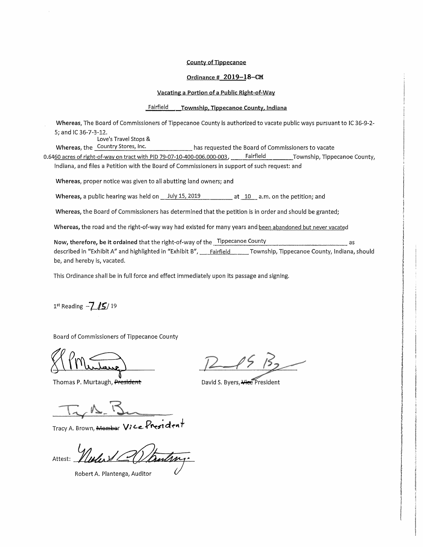## **County of Tippecanoe**

# Ordinance # 2019-18-CM

### Vacating a Portion of a Public Right-of-Way

#### Fairfield Township, Tippecanoe County, Indiana

Whereas, The Board of Commissioners of Tippecanoe County is authorized to vacate public ways pursuant to IC 36-9-2-5; and IC 36-7-3-12.

Love's Travel Stops &

Whereas, the Country Stores, Inc. has requested the Board of Commissioners to vacate

0.6460 acres of right-of-way on tract with PID 79-07-10-400-006.000-003, Fairfield Township, Tippecanoe County, Indiana, and files a Petition with the Board of Commissioners in support of such request: and

Whereas, proper notice was given to all abutting land owners; and

Whereas, a public hearing was held on  $\_$  July 15, 2019  $\ldots$  at 10  $\_$  a.m. on the petition; and

Whereas, the Board of Commissioners has determined that the petition is in order and should be granted;

Whereas, the road and the right-of-way way had existed for many years and been abandoned but never vacated

Now, therefore, be it ordained that the right-of-way of the Tippecanoe County as described in "Exhibit A" and highlighted in "Exhibit B", Fairfield Township, Tippecanoe County, Indiana, should be, and hereby is, vacated.

This Ordinance shall be in full force and effect immediately upon its passage and signing.

 $1^{st}$  Reading  $-7/5/19$ 

Board of Commissioners of Tippecanoe County

Thomas P. Murtaugh, President

David S. Byers, Hee President

Tracy A. Brown, Mombor Vice President

Attest:

Robert A. Plantenga, Auditor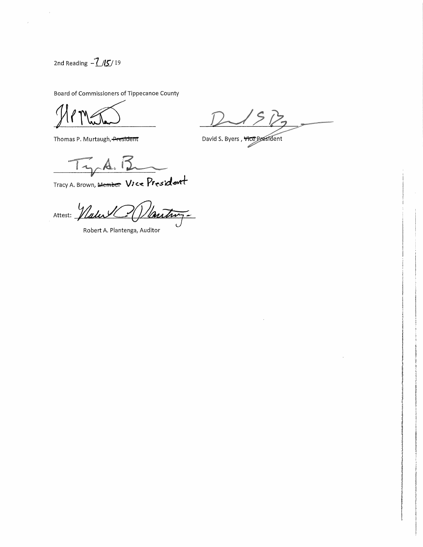2nd Reading  $-\frac{7}{5}$ /19

 $\bar{\bar{z}}$ 

Board of Commissioners of Tippecanoe County

Thomas P. Murtaugh, President

David S. Byers, Vice President land of the contract of the contract of the contract of the contract of the contract of the contract of the contract of the contract of the contract of the contract of the contract of the contract of the contract of the co

 $T_{\gamma_{\alpha}}A.$ 

Tracy A. Brown, Member Vice President

Nautroz Attest: <u>Wale</u>

Robert A. Plantenga, Auditor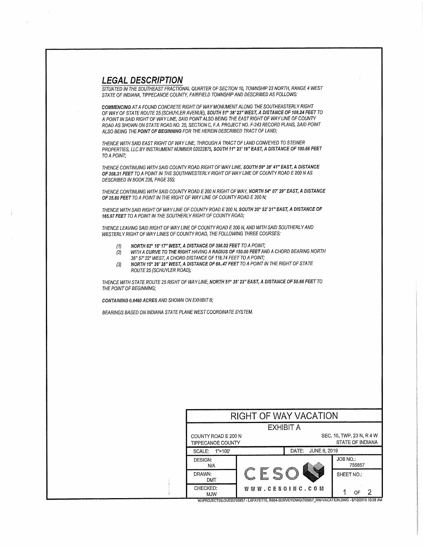# LEGAL DESCRIPTION

SITUA TED IN THE SOUTHEAST FRACTIONAL QUARTER OF SECTION 10, TOWNSHIP 23 NORTH, RANGE 4 WEST STA TE OF INDIANA, TIPPECANOE COUNTY, FAIRFIELD TOWNSHIP AND DESCRIBED AS FOLLOWS:

COMMENCING AT A FOUND CONCRETE RIGHT OF WAY MONUMENT ALONG THE SOUTHEASTERLY RIGHT OF WAY OF STATE ROUTE 25 (SCHUYLER AVENUE), SOUTH 51° 38' 23" WEST, A DISTANCE OF 108.24 FEET TO A POINT IN SAID RIGHT OF WAY LINE, SAID POINTALSO BEING THE EAST RIGHT OF WAYLINE OF COUNTY ROAD AS SHOWN ON STATE ROAD NO. 25, SECTION C, F.A. PROJECT NO. F-243 RECORD PLANS, SAID POINT ALSO BEING THE POINT OF BEGINNING FOR THE HEREIN DESCRIBED TRACT OF LAND;

THENCE WITH SAID EAST RIGHT OF WAYLINE, THROUGH A TRACT OF LAND CONVEYED TO STEINER PROPERTIES, LLC BY INSTRUMENT NUMBER 02022875, SOUTH 11° 23' 18" EAST, A DISTANCE OF 100.68 FEET TO A POINT;

THENCE CONTINUING WITH SAID COUNTY ROAD RIGHT OF WAY LINE, SOUTH 59° 38'41" EAST, A DISTANCE OF 308.31 FEET TO A POINT IN THE SOUTHWESTERLY RIGHT OF WAY LINE OF COUNTY ROAD E 200 N AS DESCRIBED IN BOOK 236, PAGE 355;

THENCE CONTINUING WITH SAID COUNTY ROAD E 200 N RIGHT OF WAY. NORTH 54° 07' 29" EAST, A DISTANCE OF 25.60 FEET TO A POINT IN THE RIGHT OF WAY LINE OF COUNTY ROAD E 200 N;

THENCE WITH SAID RIGHT OF WAYLINE OF COUNTYROAD E 200 N, SOUTH 35° 52'31" EAST, A DISTANCE OF 165.97 FEET TO A POINT IN THE SOUTHERLY RIGHT OF COUNTY ROAD;

THENCE LEAVING SAID RIGHT OF WAY LINE OF COUNTY ROAD E 200 N, AND WITH SAID SOUTHERLYAND WESTERLY RIGHT OF WAY LINES OF COUNTY ROAD, THE FOLLOWING THREE COURSES:

- 
- {1) NORTH 62° 16'17" WEST, A DISTANCE OF 396.02 FEET TO A POINT; WITH A CURVE TO THE RIGHT HAVING A RADIUS OF 150.00 FEET AND A CHORD BEARING NORTH 38° 57'22" WEST, A CHORD DISTANCE OF 118.74 FEET TO A POINT;
- (3) NORTH 15° 38' 28" WEST, A DISTANCE OF 68.47 FEET TO A POINT IN THE RIGHT OF STATE ROUTE 25 (SCHUYLER ROAD);

THENCE WITH STATE ROUTE 25 RIGHT OF WAY LINE, NORTH 51° 38' 23" EAST, A DISTANCE OF 50.66 FEET TO THE POINT OF BEGINNING;

CONTAINING 0.6460 ACRES AND SHOWN ON EXHIBIT 8;

BEARINGS BASED ON INDIANA STATE PLANE WEST COORDINATE SYSTEM.

|                        | RIGHT OF WAY VACATION                           |           |                                               |  |
|------------------------|-------------------------------------------------|-----------|-----------------------------------------------|--|
|                        |                                                 | EXHIBIT A |                                               |  |
|                        | COUNTY ROAD E 200 N<br><b>TIPPECANOE COUNTY</b> |           | SEC, 10, TWP, 23 N, R 4 W<br>STATE OF INDIANA |  |
| SCALE:<br>$1" = 100'$  |                                                 |           | JUNE 6, 2019                                  |  |
| DESIGN:<br>N/A         |                                                 |           | JOB NO.:<br>755857                            |  |
| DRAWN:<br><b>DMT</b>   |                                                 |           | SHEET NO.:                                    |  |
| CHECKED:<br><b>MJW</b> | <b>WWW.CESOINC.COM</b>                          |           | ΩF                                            |  |